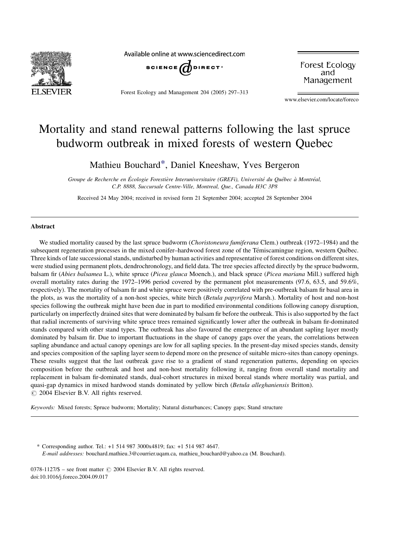

Available online at www.sciencedirect.com



Forest Ecology and Management 204 (2005) 297–313

Forest Ecology and Management

www.elsevier.com/locate/foreco

# Mortality and stand renewal patterns following the last spruce budworm outbreak in mixed forests of western Quebec

Mathieu Bouchard\*, Daniel Kneeshaw, Yves Bergeron

Groupe de Recherche en Écologie Forestière Interuniversitaire (GREFi), Université du Québec à Montréal, C.P. 8888, Succursale Centre-Ville, Montreal, Que., Canada H3C 3P8

Received 24 May 2004; received in revised form 21 September 2004; accepted 28 September 2004

# Abstract

We studied mortality caused by the last spruce budworm (Choristoneura fumiferana Clem.) outbreak (1972–1984) and the subsequent regeneration processes in the mixed conifer–hardwood forest zone of the Témiscamingue region, western Québec. Three kinds of late successional stands, undisturbed by human activities and representative of forest conditions on different sites, were studied using permanent plots, dendrochronology, and field data. The tree species affected directly by the spruce budworm, balsam fir (Abies balsamea L.), white spruce (Picea glauca Moench.), and black spruce (Picea mariana Mill.) suffered high overall mortality rates during the 1972–1996 period covered by the permanent plot measurements (97.6, 63.5, and 59.6%, respectively). The mortality of balsam fir and white spruce were positively correlated with pre-outbreak balsam fir basal area in the plots, as was the mortality of a non-host species, white birch (Betula papyrifera Marsh.). Mortality of host and non-host species following the outbreak might have been due in part to modified environmental conditions following canopy disruption, particularly on imperfectly drained sites that were dominated by balsam fir before the outbreak. This is also supported by the fact that radial increments of surviving white spruce trees remained significantly lower after the outbreak in balsam fir-dominated stands compared with other stand types. The outbreak has also favoured the emergence of an abundant sapling layer mostly dominated by balsam fir. Due to important fluctuations in the shape of canopy gaps over the years, the correlations between sapling abundance and actual canopy openings are low for all sapling species. In the present-day mixed species stands, density and species composition of the sapling layer seem to depend more on the presence of suitable micro-sites than canopy openings. These results suggest that the last outbreak gave rise to a gradient of stand regeneration patterns, depending on species composition before the outbreak and host and non-host mortality following it, ranging from overall stand mortality and replacement in balsam fir-dominated stands, dual-cohort structures in mixed boreal stands where mortality was partial, and quasi-gap dynamics in mixed hardwood stands dominated by yellow birch (Betula alleghaniensis Britton).  $\odot$  2004 Elsevier B.V. All rights reserved.

Keywords: Mixed forests; Spruce budworm; Mortality; Natural disturbances; Canopy gaps; Stand structure

\* Corresponding author. Tel.: +1 514 987 3000x4819; fax: +1 514 987 4647. E-mail addresses: bouchard.mathieu.3@courrier.uqam.ca, mathieu\_bouchard@yahoo.ca (M. Bouchard).

0378-1127/\$ – see front matter © 2004 Elsevier B.V. All rights reserved. doi:10.1016/j.foreco.2004.09.017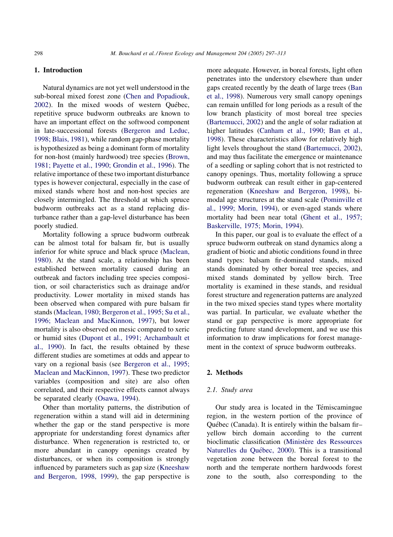# <span id="page-1-0"></span>1. Introduction

Natural dynamics are not yet well understood in the sub-boreal mixed forest zone [\(Chen and Popadiouk,](#page-15-0) [2002](#page-15-0)). In the mixed woods of western Québec, repetitive spruce budworm outbreaks are known to have an important effect on the softwood component in late-successional forests [\(Bergeron and Leduc,](#page-15-0) [1998; Blais, 1981\)](#page-15-0), while random gap-phase mortality is hypothesized as being a dominant form of mortality for non-host (mainly hardwood) tree species [\(Brown,](#page-15-0) [1981; Payette et al., 1990; Grondin et al., 1996](#page-15-0)). The relative importance of these two important disturbance types is however conjectural, especially in the case of mixed stands where host and non-host species are closely intermingled. The threshold at which spruce budworm outbreaks act as a stand replacing disturbance rather than a gap-level disturbance has been poorly studied.

Mortality following a spruce budworm outbreak can be almost total for balsam fir, but is usually inferior for white spruce and black spruce ([Maclean,](#page-15-0) [1980](#page-15-0)). At the stand scale, a relationship has been established between mortality caused during an outbreak and factors including tree species composition, or soil characteristics such as drainage and/or productivity. Lower mortality in mixed stands has been observed when compared with pure balsam fir stands ([Maclean, 1980; Bergeron et al., 1995; Su et al.,](#page-15-0) [1996; Maclean and MacKinnon, 1997\)](#page-15-0), but lower mortality is also observed on mesic compared to xeric or humid sites [\(Dupont et al., 1991; Archambault et](#page-15-0) [al., 1990\)](#page-15-0). In fact, the results obtained by these different studies are sometimes at odds and appear to vary on a regional basis (see [Bergeron et al., 1995;](#page-15-0) [Maclean and MacKinnon, 1997](#page-15-0)). These two predictor variables (composition and site) are also often correlated, and their respective effects cannot always be separated clearly [\(Osawa, 1994](#page-16-0)).

Other than mortality patterns, the distribution of regeneration within a stand will aid in determining whether the gap or the stand perspective is more appropriate for understanding forest dynamics after disturbance. When regeneration is restricted to, or more abundant in canopy openings created by disturbances, or when its composition is strongly influenced by parameters such as gap size [\(Kneeshaw](#page-15-0) [and Bergeron, 1998, 1999\)](#page-15-0), the gap perspective is

more adequate. However, in boreal forests, light often penetrates into the understory elsewhere than under gaps created recently by the death of large trees ([Ban](#page-15-0) [et al., 1998\)](#page-15-0). Numerous very small canopy openings can remain unfilled for long periods as a result of the low branch plasticity of most boreal tree species ([Bartemucci, 2002](#page-15-0)) and the angle of solar radiation at higher latitudes ([Canham et al., 1990; Ban et al.,](#page-15-0) [1998](#page-15-0)). These characteristics allow for relatively high light levels throughout the stand [\(Bartemucci, 2002\)](#page-15-0), and may thus facilitate the emergence or maintenance of a seedling or sapling cohort that is not restricted to canopy openings. Thus, mortality following a spruce budworm outbreak can result either in gap-centered regeneration ([Kneeshaw and Bergeron, 1998\)](#page-15-0), bimodal age structures at the stand scale ([Pominville et](#page-16-0) [al., 1999; Morin, 1994](#page-16-0)), or even-aged stands where mortality had been near total [\(Ghent et al., 1957;](#page-15-0) [Baskerville, 1975; Morin, 1994\)](#page-15-0).

In this paper, our goal is to evaluate the effect of a spruce budworm outbreak on stand dynamics along a gradient of biotic and abiotic conditions found in three stand types: balsam fir-dominated stands, mixed stands dominated by other boreal tree species, and mixed stands dominated by yellow birch. Tree mortality is examined in these stands, and residual forest structure and regeneration patterns are analyzed in the two mixed species stand types where mortality was partial. In particular, we evaluate whether the stand or gap perspective is more appropriate for predicting future stand development, and we use this information to draw implications for forest management in the context of spruce budworm outbreaks.

# 2. Methods

#### 2.1. Study area

Our study area is located in the Témiscamingue region, in the western portion of the province of Québec (Canada). It is entirely within the balsam firyellow birch domain according to the current bioclimatic classification (Ministère des Ressources Naturelles du Québec, 2000). This is a transitional vegetation zone between the boreal forest to the north and the temperate northern hardwoods forest zone to the south, also corresponding to the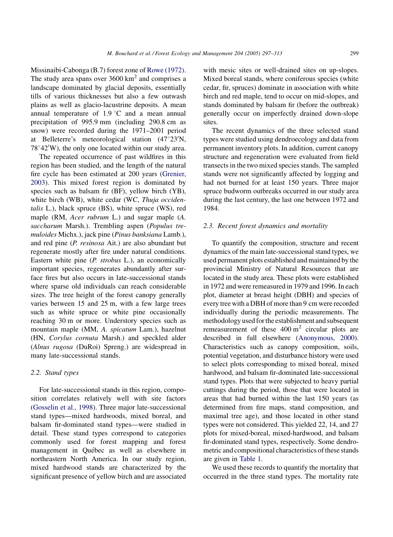Missinaibi-Cabonga (B.7) forest zone of [Rowe \(1972\)](#page-16-0). The study area spans over  $3600 \text{ km}^2$  and comprises a landscape dominated by glacial deposits, essentially tills of various thicknesses but also a few outwash plains as well as glacio-lacustrine deposits. A mean annual temperature of  $1.9\degree C$  and a mean annual precipitation of 995.9 mm (including 290.8 cm as snow) were recorded during the 1971–2001 period at Belleterre's meteorological station  $(47^{\circ}23^{\prime}N,$  $78^{\circ}42'$ W), the only one located within our study area.

The repeated occurrence of past wildfires in this region has been studied, and the length of the natural fire cycle has been estimated at 200 years ([Grenier,](#page-15-0) [2003](#page-15-0)). This mixed forest region is dominated by species such as balsam fir (BF), yellow birch (YB), white birch (WB), white cedar (WC, Thuja occidentalis L.), black spruce (BS), white spruce (WS), red maple (RM, Acer rubrum L.) and sugar maple (A. saccharum Marsh.). Trembling aspen (Populus tremuloides Michx.), jack pine (Pinus banksiana Lamb.), and red pine (P. resinosa Ait.) are also abundant but regenerate mostly after fire under natural conditions. Eastern white pine (P. strobus L.), an economically important species, regenerates abundantly after surface fires but also occurs in late-successional stands where sparse old individuals can reach considerable sizes. The tree height of the forest canopy generally varies between 15 and 25 m, with a few large trees such as white spruce or white pine occasionally reaching 30 m or more. Understory species such as mountain maple (MM, A. spicatum Lam.), hazelnut (HN, Corylus cornuta Marsh.) and speckled alder (Alnus rugosa (DuRoi) Spreng.) are widespread in many late-successional stands.

# 2.2. Stand types

For late-successional stands in this region, composition correlates relatively well with site factors ([Gosselin et al., 1998\)](#page-15-0). Three major late-successional stand types—mixed hardwoods, mixed boreal, and balsam fir-dominated stand types—were studied in detail. These stand types correspond to categories commonly used for forest mapping and forest management in Québec as well as elsewhere in northeastern North America. In our study region, mixed hardwood stands are characterized by the significant presence of yellow birch and are associated

with mesic sites or well-drained sites on up-slopes. Mixed boreal stands, where coniferous species (white cedar, fir, spruces) dominate in association with white birch and red maple, tend to occur on mid-slopes, and stands dominated by balsam fir (before the outbreak) generally occur on imperfectly drained down-slope sites.

The recent dynamics of the three selected stand types were studied using dendroecology and data from permanent inventory plots. In addition, current canopy structure and regeneration were evaluated from field transects in the two mixed species stands. The sampled stands were not significantly affected by logging and had not burned for at least 150 years. Three major spruce budworm outbreaks occurred in our study area during the last century, the last one between 1972 and 1984.

#### 2.3. Recent forest dynamics and mortality

To quantify the composition, structure and recent dynamics of the main late-successional stand types, we used permanent plots established and maintained by the provincial Ministry of Natural Resources that are located in the study area. These plots were established in 1972 and were remeasured in 1979 and 1996. In each plot, diameter at breast height (DBH) and species of every tree with a DBH of more than 9 cm were recorded individually during the periodic measurements. The methodology used for the establishment and subsequent remeasurement of these  $400 \text{ m}^2$  circular plots are described in full elsewhere [\(Anonymous, 2000](#page-14-0)). Characteristics such as canopy composition, soils, potential vegetation, and disturbance history were used to select plots corresponding to mixed boreal, mixed hardwood, and balsam fir-dominated late-successional stand types. Plots that were subjected to heavy partial cuttings during the period, those that were located in areas that had burned within the last 150 years (as determined from fire maps, stand composition, and maximal tree age), and those located in other stand types were not considered. This yielded 22, 14, and 27 plots for mixed-boreal, mixed-hardwood, and balsam fir-dominated stand types, respectively. Some dendrometric and compositional characteristics of these stands are given in [Table 1.](#page-3-0)

We used these records to quantify the mortality that occurred in the three stand types. The mortality rate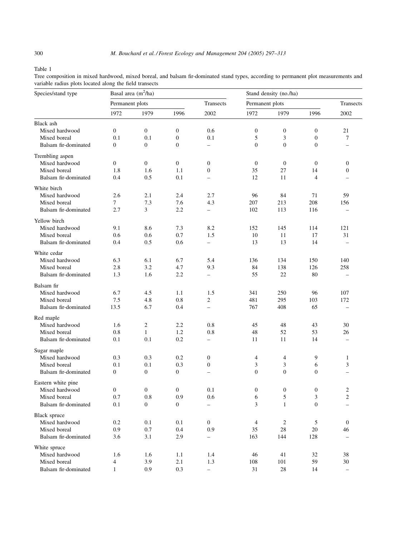<span id="page-3-0"></span>Table 1

Tree composition in mixed hardwood, mixed boreal, and balsam fir-dominated stand types, according to permanent plot measurements and variable radius plots located along the field transects

| Species/stand type   |                  | Basal area $(m^2/ha)$ |                  |                          | Stand density (no./ha) |                  |                  |                          |  |
|----------------------|------------------|-----------------------|------------------|--------------------------|------------------------|------------------|------------------|--------------------------|--|
|                      | Permanent plots  |                       |                  | Transects                | Permanent plots        |                  |                  | Transects                |  |
|                      | 1972             | 1979                  | 1996             | 2002                     | 1972                   | 1979             | 1996             | 2002                     |  |
| Black ash            |                  |                       |                  |                          |                        |                  |                  |                          |  |
| Mixed hardwood       | $\boldsymbol{0}$ | $\mathbf{0}$          | $\mathbf{0}$     | 0.6                      | $\boldsymbol{0}$       | $\boldsymbol{0}$ | $\boldsymbol{0}$ | 21                       |  |
| Mixed boreal         | 0.1              | 0.1                   | $\boldsymbol{0}$ | 0.1                      | 5                      | 3                | $\boldsymbol{0}$ | 7                        |  |
| Balsam fir-dominated | 0                | $\mathbf{0}$          | $\mathbf{0}$     |                          | $\overline{0}$         | $\mathbf{0}$     | $\boldsymbol{0}$ |                          |  |
| Trembling aspen      |                  |                       |                  |                          |                        |                  |                  |                          |  |
| Mixed hardwood       | $\boldsymbol{0}$ | $\mathbf{0}$          | $\overline{0}$   | $\mathbf{0}$             | $\overline{0}$         | $\boldsymbol{0}$ | $\theta$         | $\overline{0}$           |  |
| Mixed boreal         | 1.8              | 1.6                   | 1.1              | $\boldsymbol{0}$         | 35                     | 27               | 14               | 0                        |  |
| Balsam fir-dominated | 0.4              | 0.5                   | 0.1              | $\overline{\phantom{0}}$ | 12                     | 11               | $\overline{4}$   |                          |  |
| White birch          |                  |                       |                  |                          |                        |                  |                  |                          |  |
| Mixed hardwood       | 2.6              | 2.1                   | 2.4              | 2.7                      | 96                     | 84               | 71               | 59                       |  |
| Mixed boreal         | 7                | 7.3                   | 7.6              | 4.3                      | 207                    | 213              | 208              | 156                      |  |
| Balsam fir-dominated | 2.7              | 3                     | 2.2              | $\overline{\phantom{0}}$ | 102                    | 113              | 116              |                          |  |
| Yellow birch         |                  |                       |                  |                          |                        |                  |                  |                          |  |
| Mixed hardwood       | 9.1              | 8.6                   | 7.3              | 8.2                      | 152                    | 145              | 114              | 121                      |  |
| Mixed boreal         | 0.6              | 0.6                   | 0.7              | 1.5                      | 10                     | 11               | 17               | 31                       |  |
| Balsam fir-dominated | 0.4              | 0.5                   | 0.6              | $\overline{\phantom{0}}$ | 13                     | 13               | 14               | $\overline{a}$           |  |
| White cedar          |                  |                       |                  |                          |                        |                  |                  |                          |  |
| Mixed hardwood       | 6.3              | 6.1                   | 6.7              | 5.4                      | 136                    | 134              | 150              | 140                      |  |
| Mixed boreal         | 2.8              | 3.2                   | 4.7              | 9.3                      | 84                     | 138              | 126              | 258                      |  |
| Balsam fir-dominated | 1.3              | 1.6                   | 2.2              | $\overline{\phantom{0}}$ | 55                     | 22               | 80               | $\overline{\phantom{0}}$ |  |
| Balsam fir           |                  |                       |                  |                          |                        |                  |                  |                          |  |
| Mixed hardwood       | 6.7              | 4.5                   | 1.1              | 1.5                      | 341                    | 250              | 96               | 107                      |  |
| Mixed boreal         | 7.5              | 4.8                   | 0.8              | $\overline{c}$           | 481                    | 295              | 103              | 172                      |  |
| Balsam fir-dominated | 13.5             | 6.7                   | 0.4              | $\overline{\phantom{0}}$ | 767                    | 408              | 65               | $\overline{\phantom{0}}$ |  |
| Red maple            |                  |                       |                  |                          |                        |                  |                  |                          |  |
| Mixed hardwood       | 1.6              | $\boldsymbol{2}$      | 2.2              | 0.8                      | 45                     | 48               | 43               | 30                       |  |
| Mixed boreal         | 0.8              | $\mathbf{1}$          | 1.2              | 0.8                      | 48                     | 52               | 53               | 26                       |  |
| Balsam fir-dominated | 0.1              | 0.1                   | 0.2              | -                        | 11                     | 11               | 14               |                          |  |
| Sugar maple          |                  |                       |                  |                          |                        |                  |                  |                          |  |
| Mixed hardwood       | 0.3              | 0.3                   | 0.2              | 0                        | 4                      | 4                | 9                | $\mathbf{1}$             |  |
| Mixed boreal         | 0.1              | 0.1                   | 0.3              | $\boldsymbol{0}$         | 3                      | 3                | 6                | 3                        |  |
| Balsam fir-dominated | $\boldsymbol{0}$ | $\boldsymbol{0}$      | $\mathbf{0}$     | $\overline{\phantom{0}}$ | $\overline{0}$         | $\boldsymbol{0}$ | $\boldsymbol{0}$ | $\overline{a}$           |  |
| Eastern white pine   |                  |                       |                  |                          |                        |                  |                  |                          |  |
| Mixed hardwood       | $\boldsymbol{0}$ | $\mathbf{0}$          | $\mathbf{0}$     | 0.1                      | $\boldsymbol{0}$       | $\boldsymbol{0}$ | $\boldsymbol{0}$ | $\overline{2}$           |  |
| Mixed boreal         | 0.7              | 0.8                   | 0.9              | 0.6                      | 6                      | 5                | 3                | $\boldsymbol{2}$         |  |
| Balsam fir-dominated | 0.1              | $\mathbf{0}$          | $\overline{0}$   | -                        | 3                      | $\mathbf{1}$     | $\overline{0}$   | $\overline{\phantom{0}}$ |  |
| Black spruce         |                  |                       |                  |                          |                        |                  |                  |                          |  |
| Mixed hardwood       | 0.2              | 0.1                   | 0.1              | $\mathbf{0}$             | $\overline{4}$         | $\boldsymbol{2}$ | 5                | $\mathbf{0}$             |  |
| Mixed boreal         | 0.9              | 0.7                   | 0.4              | 0.9                      | 35                     | 28               | 20               | 46                       |  |
| Balsam fir-dominated | 3.6              | 3.1                   | 2.9              | $\overline{\phantom{0}}$ | 163                    | 144              | 128              | -                        |  |
| White spruce         |                  |                       |                  |                          |                        |                  |                  |                          |  |
| Mixed hardwood       | 1.6              | 1.6                   | 1.1              | 1.4                      | 46                     | 41               | 32               | 38                       |  |
| Mixed boreal         | 4                | 3.9                   | 2.1              | 1.3                      | 108                    | 101              | 59               | 30                       |  |
| Balsam fir-dominated | $\mathbf{1}$     | $\rm 0.9$             | 0.3              | $\overline{\phantom{0}}$ | 31                     | $28\,$           | 14               | $\qquad \qquad -$        |  |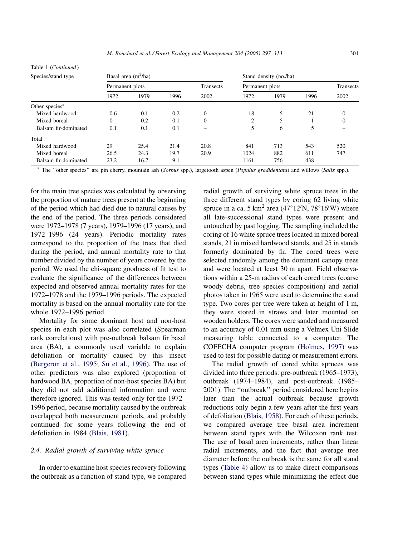Table 1 (Continued )

| Species/stand type         |                 | Basal area $(m^2/ha)$ |      |           | Stand density (no./ha) |           |      |          |  |  |
|----------------------------|-----------------|-----------------------|------|-----------|------------------------|-----------|------|----------|--|--|
|                            | Permanent plots |                       |      | Transects | Permanent plots        | Transects |      |          |  |  |
|                            | 1972            | 1979                  | 1996 | 2002      | 1972                   | 1979      | 1996 | 2002     |  |  |
| Other species <sup>a</sup> |                 |                       |      |           |                        |           |      |          |  |  |
| Mixed hardwood             | 0.6             | 0.1                   |      | $\Omega$  | 18                     |           | 21   | $\Omega$ |  |  |
| Mixed boreal               | $\mathbf{0}$    | 0.2                   | 0.1  | $\Omega$  | $\overline{c}$         |           |      | $\Omega$ |  |  |
| Balsam fir-dominated       | 0.1             | 0.1                   | 0.1  |           | 5                      | 6         | 5    |          |  |  |
| Total                      |                 |                       |      |           |                        |           |      |          |  |  |
| Mixed hardwood             | 29              | 25.4                  | 21.4 | 20.8      | 841                    | 713       | 543  | 520      |  |  |
| Mixed boreal               | 26.5            | 24.3                  | 19.7 | 20.9      | 1024                   | 882       | 611  | 747      |  |  |
| Balsam fir-dominated       | 23.2            | 16.7                  | 9.1  |           | 1161                   | 756       | 438  |          |  |  |

<sup>a</sup> The "other species" are pin cherry, mountain ash (Sorbus spp.), largetooth aspen (Populus gradidentata) and willows (Salix spp.).

for the main tree species was calculated by observing the proportion of mature trees present at the beginning of the period which had died due to natural causes by the end of the period. The three periods considered were 1972–1978 (7 years), 1979–1996 (17 years), and 1972–1996 (24 years). Periodic mortality rates correspond to the proportion of the trees that died during the period, and annual mortality rate to that number divided by the number of years covered by the period. We used the chi-square goodness of fit test to evaluate the significance of the differences between expected and observed annual mortality rates for the 1972–1978 and the 1979–1996 periods. The expected mortality is based on the annual mortality rate for the whole 1972–1996 period.

Mortality for some dominant host and non-host species in each plot was also correlated (Spearman rank correlations) with pre-outbreak balsam fir basal area (BA), a commonly used variable to explain defoliation or mortality caused by this insect ([Bergeron et al., 1995; Su et al., 1996\)](#page-15-0). The use of other predictors was also explored (proportion of hardwood BA, proportion of non-host species BA) but they did not add additional information and were therefore ignored. This was tested only for the 1972– 1996 period, because mortality caused by the outbreak overlapped both measurement periods, and probably continued for some years following the end of defoliation in 1984 [\(Blais, 1981](#page-15-0)).

#### 2.4. Radial growth of surviving white spruce

In order to examine host species recovery following the outbreak as a function of stand type, we compared radial growth of surviving white spruce trees in the three different stand types by coring 62 living white spruce in a ca. 5  $km^2$  area (47°12′N, 78°16′W) where all late-successional stand types were present and untouched by past logging. The sampling included the coring of 16 white spruce trees located in mixed boreal stands, 21 in mixed hardwood stands, and 25 in stands formerly dominated by fir. The cored trees were selected randomly among the dominant canopy trees and were located at least 30 m apart. Field observations within a 25-m radius of each cored trees (coarse woody debris, tree species composition) and aerial photos taken in 1965 were used to determine the stand type. Two cores per tree were taken at height of 1 m, they were stored in straws and later mounted on wooden holders. The cores were sanded and measured to an accuracy of 0.01 mm using a Velmex Uni Slide measuring table connected to a computer. The COFECHA computer program ([Holmes, 1997\)](#page-15-0) was used to test for possible dating or measurement errors.

The radial growth of cored white spruces was divided into three periods: pre-outbreak (1965–1973), outbreak (1974–1984), and post-outbreak (1985– 2001). The ''outbreak'' period considered here begins later than the actual outbreak because growth reductions only begin a few years after the first years of defoliation [\(Blais, 1958\)](#page-15-0). For each of these periods, we compared average tree basal area increment between stand types with the Wilcoxon rank test. The use of basal area increments, rather than linear radial increments, and the fact that average tree diameter before the outbreak is the same for all stand types [\(Table 4\)](#page-9-0) allow us to make direct comparisons between stand types while minimizing the effect due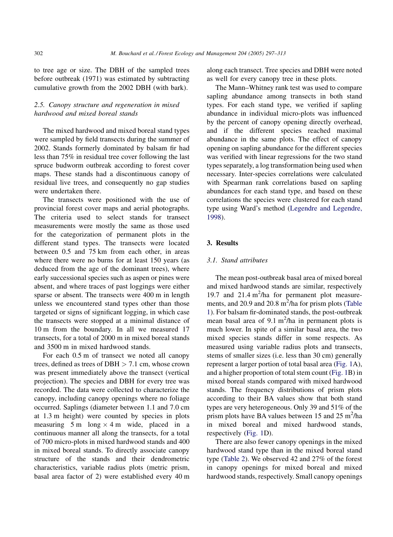to tree age or size. The DBH of the sampled trees before outbreak (1971) was estimated by subtracting cumulative growth from the 2002 DBH (with bark).

# 2.5. Canopy structure and regeneration in mixed hardwood and mixed boreal stands

The mixed hardwood and mixed boreal stand types were sampled by field transects during the summer of 2002. Stands formerly dominated by balsam fir had less than 75% in residual tree cover following the last spruce budworm outbreak according to forest cover maps. These stands had a discontinuous canopy of residual live trees, and consequently no gap studies were undertaken there.

The transects were positioned with the use of provincial forest cover maps and aerial photographs. The criteria used to select stands for transect measurements were mostly the same as those used for the categorization of permanent plots in the different stand types. The transects were located between 0.5 and 75 km from each other, in areas where there were no burns for at least 150 years (as deduced from the age of the dominant trees), where early successional species such as aspen or pines were absent, and where traces of past loggings were either sparse or absent. The transects were 400 m in length unless we encountered stand types other than those targeted or signs of significant logging, in which case the transects were stopped at a minimal distance of 10 m from the boundary. In all we measured 17 transects, for a total of 2000 m in mixed boreal stands and 3500 m in mixed hardwood stands.

For each 0.5 m of transect we noted all canopy trees, defined as trees of  $DBH > 7.1$  cm, whose crown was present immediately above the transect (vertical projection). The species and DBH for every tree was recorded. The data were collected to characterize the canopy, including canopy openings where no foliage occurred. Saplings (diameter between 1.1 and 7.0 cm at 1.3 m height) were counted by species in plots measuring  $5 \text{ m}$  long  $\times$  4 m wide, placed in a continuous manner all along the transects, for a total of 700 micro-plots in mixed hardwood stands and 400 in mixed boreal stands. To directly associate canopy structure of the stands and their dendrometric characteristics, variable radius plots (metric prism, basal area factor of 2) were established every 40 m along each transect. Tree species and DBH were noted as well for every canopy tree in these plots.

The Mann–Whitney rank test was used to compare sapling abundance among transects in both stand types. For each stand type, we verified if sapling abundance in individual micro-plots was influenced by the percent of canopy opening directly overhead, and if the different species reached maximal abundance in the same plots. The effect of canopy opening on sapling abundance for the different species was verified with linear regressions for the two stand types separately, a log transformation being used when necessary. Inter-species correlations were calculated with Spearman rank correlations based on sapling abundances for each stand type, and based on these correlations the species were clustered for each stand type using Ward's method ([Legendre and Legendre,](#page-15-0) [1998](#page-15-0)).

#### 3. Results

## 3.1. Stand attributes

The mean post-outbreak basal area of mixed boreal and mixed hardwood stands are similar, respectively 19.7 and  $21.4 \text{ m}^2/\text{ha}$  for permanent plot measurements, and 20.9 and 20.8  $m^2/ha$  for prism plots ([Table](#page-3-0) [1\)](#page-3-0). For balsam fir-dominated stands, the post-outbreak mean basal area of  $9.1 \text{ m}^2/\text{ha}$  in permanent plots is much lower. In spite of a similar basal area, the two mixed species stands differ in some respects. As measured using variable radius plots and transects, stems of smaller sizes (i.e. less than 30 cm) generally represent a larger portion of total basal area ([Fig. 1A](#page-6-0)), and a higher proportion of total stem count [\(Fig. 1](#page-6-0)B) in mixed boreal stands compared with mixed hardwood stands. The frequency distributions of prism plots according to their BA values show that both stand types are very heterogeneous. Only 39 and 51% of the prism plots have BA values between  $15$  and  $25 \text{ m}^2/\text{ha}$ in mixed boreal and mixed hardwood stands, respectively [\(Fig. 1](#page-6-0)D).

There are also fewer canopy openings in the mixed hardwood stand type than in the mixed boreal stand type ([Table 2\)](#page-6-0). We observed 42 and 27% of the forest in canopy openings for mixed boreal and mixed hardwood stands, respectively. Small canopy openings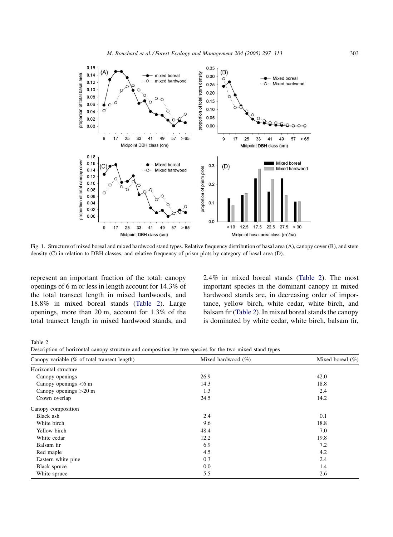<span id="page-6-0"></span>

Fig. 1. Structure of mixed boreal and mixed hardwood stand types. Relative frequency distribution of basal area (A), canopy cover (B), and stem density (C) in relation to DBH classes, and relative frequency of prism plots by category of basal area (D).

represent an important fraction of the total: canopy openings of 6 m or less in length account for 14.3% of the total transect length in mixed hardwoods, and 18.8% in mixed boreal stands (Table 2). Large openings, more than 20 m, account for 1.3% of the total transect length in mixed hardwood stands, and

2.4% in mixed boreal stands (Table 2). The most important species in the dominant canopy in mixed hardwood stands are, in decreasing order of importance, yellow birch, white cedar, white birch, and balsam fir (Table 2). In mixed boreal stands the canopy is dominated by white cedar, white birch, balsam fir,

Table 2

Description of horizontal canopy structure and composition by tree species for the two mixed stand types

| Canopy variable (% of total transect length) | Mixed hardwood $(\% )$ | Mixed boreal $(\% )$ |
|----------------------------------------------|------------------------|----------------------|
| Horizontal structure                         |                        |                      |
| Canopy openings                              | 26.9                   | 42.0                 |
| Canopy openings $< 6$ m                      | 14.3                   | 18.8                 |
| Canopy openings $>20$ m                      | 1.3                    | 2.4                  |
| Crown overlap                                | 24.5                   | 14.2                 |
| Canopy composition                           |                        |                      |
| Black ash                                    | 2.4                    | 0.1                  |
| White birch                                  | 9.6                    | 18.8                 |
| Yellow birch                                 | 48.4                   | 7.0                  |
| White cedar                                  | 12.2                   | 19.8                 |
| Balsam fir                                   | 6.9                    | 7.2                  |
| Red maple                                    | 4.5                    | 4.2                  |
| Eastern white pine                           | 0.3                    | 2.4                  |
| Black spruce                                 | 0.0                    | 1.4                  |
| White spruce                                 | 5.5                    | 2.6                  |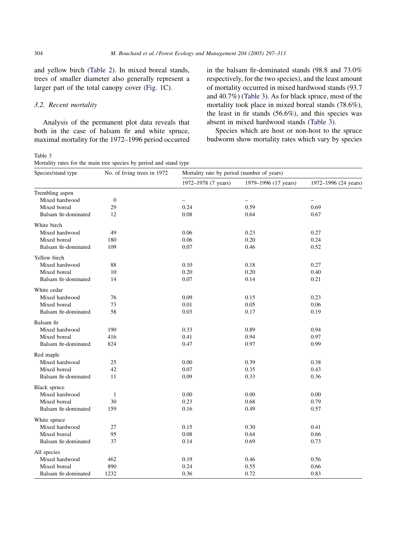<span id="page-7-0"></span>and yellow birch [\(Table 2\)](#page-6-0). In mixed boreal stands, trees of smaller diameter also generally represent a larger part of the total canopy cover [\(Fig. 1](#page-6-0)C).

# 3.2. Recent mortality

Analysis of the permanent plot data reveals that both in the case of balsam fir and white spruce, maximal mortality for the 1972–1996 period occurred

Table 3 Mortality rates for the main tree species by period and stand type

in the balsam fir-dominated stands (98.8 and 73.0% respectively, for the two species), and the least amount of mortality occurred in mixed hardwood stands (93.7 and 40.7%) (Table 3). As for black spruce, most of the mortality took place in mixed boreal stands (78.6%), the least in fir stands (56.6%), and this species was absent in mixed hardwood stands (Table 3).

Species which are host or non-host to the spruce budworm show mortality rates which vary by species

| Species/stand type   | No. of living trees in 1972 | Mortality rate by period (number of years) |                      |                      |  |  |  |  |
|----------------------|-----------------------------|--------------------------------------------|----------------------|----------------------|--|--|--|--|
|                      |                             | 1972-1978 (7 years)                        | 1979-1996 (17 years) | 1972-1996 (24 years) |  |  |  |  |
| Trembling aspen      |                             |                                            |                      |                      |  |  |  |  |
| Mixed hardwood       | $\mathbf{0}$                | $\qquad \qquad -$                          | $\qquad \qquad -$    | $\qquad \qquad -$    |  |  |  |  |
| Mixed boreal         | 29                          | 0.24                                       | 0.59                 | 0.69                 |  |  |  |  |
| Balsam fir-dominated | 12                          | 0.08                                       | 0.64                 | 0.67                 |  |  |  |  |
| White birch          |                             |                                            |                      |                      |  |  |  |  |
| Mixed hardwood       | 49                          | 0.06                                       | 0.23                 | 0.27                 |  |  |  |  |
| Mixed boreal         | 180                         | 0.06                                       | 0.20                 | 0.24                 |  |  |  |  |
| Balsam fir-dominated | 109                         | 0.07                                       | 0.46                 | 0.52                 |  |  |  |  |
| Yellow birch         |                             |                                            |                      |                      |  |  |  |  |
| Mixed hardwood       | 88                          | 0.10                                       | 0.18                 | 0.27                 |  |  |  |  |
| Mixed boreal         | 10                          | 0.20                                       | 0.20                 | 0.40                 |  |  |  |  |
| Balsam fir-dominated | 14                          | 0.07                                       | 0.14                 | 0.21                 |  |  |  |  |
| White cedar          |                             |                                            |                      |                      |  |  |  |  |
| Mixed hardwood       | 76                          | 0.09                                       | 0.15                 | 0.23                 |  |  |  |  |
| Mixed boreal         | 73                          | 0.01                                       | 0.05                 | 0.06                 |  |  |  |  |
| Balsam fir-dominated | 58                          | 0.03                                       | 0.17                 | 0.19                 |  |  |  |  |
| Balsam fir           |                             |                                            |                      |                      |  |  |  |  |
| Mixed hardwood       | 190                         | 0.33                                       | 0.89                 | 0.94                 |  |  |  |  |
| Mixed boreal         | 416                         | 0.41                                       | 0.94                 | 0.97                 |  |  |  |  |
| Balsam fir-dominated | 824                         | 0.47                                       | 0.97                 | 0.99                 |  |  |  |  |
| Red maple            |                             |                                            |                      |                      |  |  |  |  |
| Mixed hardwood       | 25                          | 0.00                                       | 0.39                 | 0.38                 |  |  |  |  |
| Mixed boreal         | 42                          | 0.07                                       | 0.35                 | 0.43                 |  |  |  |  |
| Balsam fir-dominated | 11                          | 0.09                                       | 0.33                 | 0.36                 |  |  |  |  |
| Black spruce         |                             |                                            |                      |                      |  |  |  |  |
| Mixed hardwood       | $\mathbf{1}$                | 0.00                                       | 0.00                 | 0.00                 |  |  |  |  |
| Mixed boreal         | 30                          | 0.23                                       | 0.68                 | 0.79                 |  |  |  |  |
| Balsam fir-dominated | 159                         | 0.16                                       | 0.49                 | 0.57                 |  |  |  |  |
| White spruce         |                             |                                            |                      |                      |  |  |  |  |
| Mixed hardwood       | 27                          | 0.15                                       | 0.30                 | 0.41                 |  |  |  |  |
| Mixed boreal         | 95                          | 0.08                                       | 0.64                 | 0.66                 |  |  |  |  |
| Balsam fir-dominated | 37                          | 0.14                                       | 0.69                 | 0.73                 |  |  |  |  |
| All species          |                             |                                            |                      |                      |  |  |  |  |
| Mixed hardwood       | 462                         | 0.19                                       | 0.46                 | 0.56                 |  |  |  |  |
| Mixed boreal         | 890                         | 0.24                                       | 0.55                 | 0.66                 |  |  |  |  |
| Balsam fir-dominated | 1232                        | 0.36                                       | 0.72                 | 0.83                 |  |  |  |  |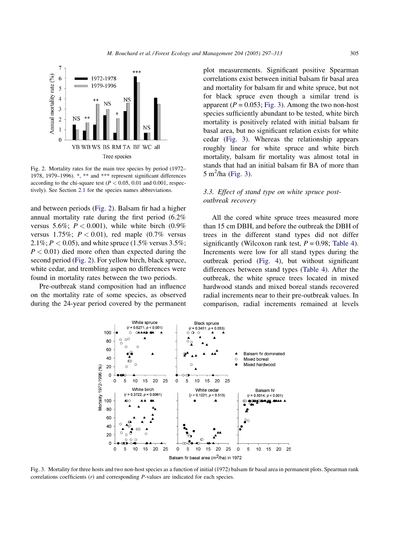<span id="page-8-0"></span>

Fig. 2. Mortality rates for the main tree species by period (1972– 1978, 1979–1996). \*, \*\* and \*\*\* represent significant differences according to the chi-square test ( $P < 0.05$ , 0.01 and 0.001, respectively). See Section [2.1](#page-1-0) for the species names abbreviations.

and between periods (Fig. 2). Balsam fir had a higher annual mortality rate during the first period (6.2% versus 5.6%;  $P < 0.001$ ), while white birch  $(0.9\%$ versus 1.75%;  $P < 0.01$ ), red maple (0.7% versus 2.1%;  $P < 0.05$ ), and white spruce (1.5% versus 3.5%;  $P < 0.01$ ) died more often than expected during the second period (Fig. 2). For yellow birch, black spruce, white cedar, and trembling aspen no differences were found in mortality rates between the two periods.

Pre-outbreak stand composition had an influence on the mortality rate of some species, as observed during the 24-year period covered by the permanent plot measurements. Significant positive Spearman correlations exist between initial balsam fir basal area and mortality for balsam fir and white spruce, but not for black spruce even though a similar trend is apparent ( $P = 0.053$ ; Fig. 3). Among the two non-host species sufficiently abundant to be tested, white birch mortality is positively related with initial balsam fir basal area, but no significant relation exists for white cedar (Fig. 3). Whereas the relationship appears roughly linear for white spruce and white birch mortality, balsam fir mortality was almost total in stands that had an initial balsam fir BA of more than  $5 \text{ m}^2$ /ha (Fig. 3).

# 3.3. Effect of stand type on white spruce postoutbreak recovery

All the cored white spruce trees measured more than 15 cm DBH, and before the outbreak the DBH of trees in the different stand types did not differ significantly (Wilcoxon rank test,  $P = 0.98$ ; [Table 4](#page-9-0)). Increments were low for all stand types during the outbreak period ([Fig. 4](#page-9-0)), but without significant differences between stand types [\(Table 4](#page-9-0)). After the outbreak, the white spruce trees located in mixed hardwood stands and mixed boreal stands recovered radial increments near to their pre-outbreak values. In comparison, radial increments remained at levels



Fig. 3. Mortality for three hosts and two non-host species as a function of initial (1972) balsam fir basal area in permanent plots. Spearman rank correlations coefficients (r) and corresponding P-values are indicated for each species.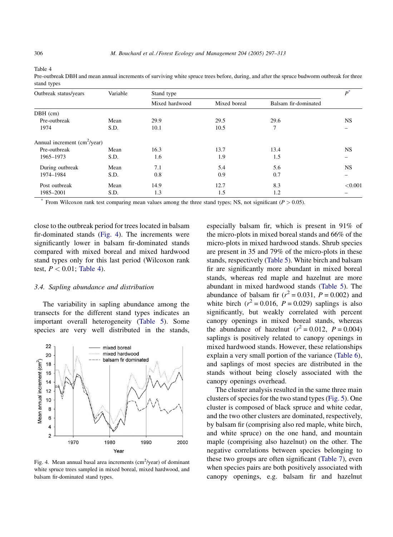<span id="page-9-0"></span>

| ٧<br>٧ |  |
|--------|--|
|--------|--|

| Outbreak status/years           | Variable             | Stand type     |              |                      |           |  |  |  |
|---------------------------------|----------------------|----------------|--------------|----------------------|-----------|--|--|--|
|                                 |                      | Mixed hardwood | Mixed boreal | Balsam fir-dominated |           |  |  |  |
| $DBH$ (cm)                      |                      |                |              |                      |           |  |  |  |
| Pre-outbreak                    | Mean                 | 29.9           | 29.5         | 29.6                 | NS.       |  |  |  |
| 1974                            | S.D.<br>10.1<br>10.5 |                | 7            |                      |           |  |  |  |
| Annual increment $(cm^2$ /year) |                      |                |              |                      |           |  |  |  |
| Pre-outbreak                    | Mean                 | 16.3           | 13.7         | 13.4                 | <b>NS</b> |  |  |  |
| 1965-1973                       | S.D.                 | 1.6            | 1.9          | 1.5                  |           |  |  |  |
| During outbreak                 | Mean                 | 7.1            | 5.4          | 5.6                  | <b>NS</b> |  |  |  |
| 1974-1984                       | S.D.                 | 0.8            | 0.9          | 0.7                  |           |  |  |  |
| Post outbreak                   | Mean                 | 14.9           | 12.7         | 8.3                  | < 0.001   |  |  |  |
| 1985-2001                       | S.D.                 | 1.3            | 1.5          | 1.2                  |           |  |  |  |

Pre-outbreak DBH and mean annual increments of surviving white spruce trees before, during, and after the spruce budworm outbreak for three stand types

From Wilcoxon rank test comparing mean values among the three stand types; NS, not significant ( $P > 0.05$ ).

close to the outbreak period for trees located in balsam fir-dominated stands (Fig. 4). The increments were significantly lower in balsam fir-dominated stands compared with mixed boreal and mixed hardwood stand types only for this last period (Wilcoxon rank test,  $P < 0.01$ ; Table 4).

#### 3.4. Sapling abundance and distribution

The variability in sapling abundance among the transects for the different stand types indicates an important overall heterogeneity ([Table 5](#page-10-0)). Some species are very well distributed in the stands,



Fig. 4. Mean annual basal area increments  $(cm<sup>2</sup>/year)$  of dominant white spruce trees sampled in mixed boreal, mixed hardwood, and balsam fir-dominated stand types.

especially balsam fir, which is present in 91% of the micro-plots in mixed boreal stands and 66% of the micro-plots in mixed hardwood stands. Shrub species are present in 35 and 79% of the micro-plots in these stands, respectively ([Table 5](#page-10-0)). White birch and balsam fir are significantly more abundant in mixed boreal stands, whereas red maple and hazelnut are more abundant in mixed hardwood stands ([Table 5](#page-10-0)). The abundance of balsam fir  $(r^2 = 0.031, P = 0.002)$  and white birch  $(r^2 = 0.016, P = 0.029)$  saplings is also significantly, but weakly correlated with percent canopy openings in mixed boreal stands, whereas the abundance of hazelnut ( $r^2 = 0.012$ ,  $P = 0.004$ ) saplings is positively related to canopy openings in mixed hardwood stands. However, these relationships explain a very small portion of the variance [\(Table 6\)](#page-11-0), and saplings of most species are distributed in the stands without being closely associated with the canopy openings overhead.

The cluster analysis resulted in the same three main clusters of species for the two stand types ([Fig. 5](#page-11-0)). One cluster is composed of black spruce and white cedar, and the two other clusters are dominated, respectively, by balsam fir (comprising also red maple, white birch, and white spruce) on the one hand, and mountain maple (comprising also hazelnut) on the other. The negative correlations between species belonging to these two groups are often significant [\(Table 7](#page-12-0)), even when species pairs are both positively associated with canopy openings, e.g. balsam fir and hazelnut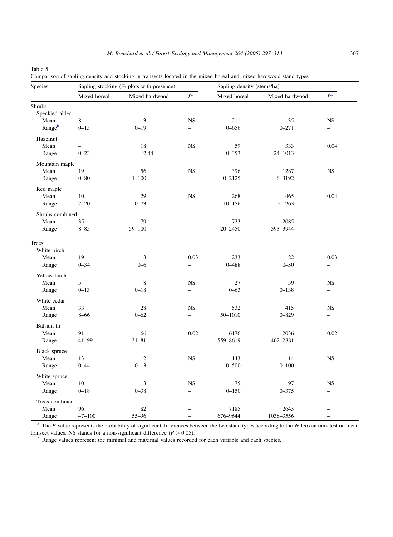<span id="page-10-0"></span>Table 5

| Comparison of sapling density and stocking in transects located in the mixed boreal and mixed hardwood stand types |  |  |  |  |  |  |  |  |  |
|--------------------------------------------------------------------------------------------------------------------|--|--|--|--|--|--|--|--|--|
|                                                                                                                    |  |  |  |  |  |  |  |  |  |
|                                                                                                                    |  |  |  |  |  |  |  |  |  |

| Species         |              | Sapling stocking (% plots with presence) |                          | Sapling density (stems/ha) |                |                          |  |
|-----------------|--------------|------------------------------------------|--------------------------|----------------------------|----------------|--------------------------|--|
|                 | Mixed boreal | Mixed hardwood                           | $\mathbb{P}^{\rm a}$     | Mixed boreal               | Mixed hardwood | $P^{\rm a}$              |  |
| Shrubs          |              |                                          |                          |                            |                |                          |  |
| Speckled alder  |              |                                          |                          |                            |                |                          |  |
| Mean            | 8            | 3                                        | <b>NS</b>                | 211                        | 35             | <b>NS</b>                |  |
| Rangeb          | $0 - 15$     | $0 - 19$                                 | $\overline{\phantom{0}}$ | $0 - 656$                  | $0 - 271$      | $\overline{\phantom{0}}$ |  |
| Hazelnut        |              |                                          |                          |                            |                |                          |  |
| Mean            | 4            | $18\,$                                   | <b>NS</b>                | 59                         | 333            | 0.04                     |  |
| Range           | $0 - 23$     | 2.44                                     | $\overline{\phantom{0}}$ | $0 - 353$                  | 24-1013        | $\overline{\phantom{0}}$ |  |
| Mountain maple  |              |                                          |                          |                            |                |                          |  |
| Mean            | 19           | 56                                       | <b>NS</b>                | 396                        | 1287           | <b>NS</b>                |  |
| Range           | $0 - 80$     | $1 - 100$                                | $\overline{\phantom{0}}$ | $0 - 2125$                 | 6-3192         | $\overline{\phantom{0}}$ |  |
| Red maple       |              |                                          |                          |                            |                |                          |  |
| Mean            | 10           | 29                                       | <b>NS</b>                | 268                        | 465            | 0.04                     |  |
| Range           | $2 - 20$     | $0 - 73$                                 | $\overline{a}$           | $10 - 156$                 | $0 - 1263$     | $\overline{\phantom{0}}$ |  |
|                 |              |                                          |                          |                            |                |                          |  |
| Shrubs combined |              |                                          |                          |                            |                |                          |  |
| Mean            | 35           | 79                                       | $\overline{\phantom{0}}$ | 723                        | 2085           |                          |  |
| Range           | $8 - 85$     | $59 - 100$                               | $\overline{a}$           | $20 - 2450$                | 593-3944       | $\overline{\phantom{0}}$ |  |
| Trees           |              |                                          |                          |                            |                |                          |  |
| White birch     |              |                                          |                          |                            |                |                          |  |
| Mean            | 19           | 3                                        | 0.03                     | 233                        | 22             | 0.03                     |  |
| Range           | $0 - 34$     | $0 - 6$                                  | $\overline{\phantom{0}}$ | $0 - 488$                  | $0 - 50$       | -                        |  |
| Yellow birch    |              |                                          |                          |                            |                |                          |  |
| Mean            | 5            | 8                                        | <b>NS</b>                | 27                         | 59             | <b>NS</b>                |  |
| Range           | $0 - 13$     | $0 - 18$                                 | $\overline{\phantom{0}}$ | $0 - 63$                   | $0 - 138$      | $\overline{\phantom{0}}$ |  |
|                 |              |                                          |                          |                            |                |                          |  |
| White cedar     |              |                                          |                          |                            |                |                          |  |
| Mean            | 33           | 28                                       | <b>NS</b>                | 532                        | 415            | <b>NS</b>                |  |
| Range           | $8 - 66$     | $0 - 62$                                 | $\overline{\phantom{0}}$ | 50-1010                    | $0 - 829$      | $\overline{\phantom{0}}$ |  |
| Balsam fir      |              |                                          |                          |                            |                |                          |  |
| Mean            | 91           | 66                                       | 0.02                     | 6176                       | 2036           | 0.02                     |  |
| Range           | $41 - 99$    | $31 - 81$                                | $\overline{\phantom{0}}$ | 559-8619                   | 462-2881       | $\overline{\phantom{0}}$ |  |
| Black spruce    |              |                                          |                          |                            |                |                          |  |
| Mean            | 13           | $\mathbf{2}$                             | <b>NS</b>                | 143                        | 14             | NS                       |  |
| Range           | $0 - 44$     | $0 - 13$                                 | $\overline{\phantom{0}}$ | $0 - 500$                  | $0 - 100$      | $\overline{\phantom{0}}$ |  |
| White spruce    |              |                                          |                          |                            |                |                          |  |
| Mean            | 10           | 13                                       | <b>NS</b>                | 75                         | 97             | NS                       |  |
| Range           | $0 - 18$     | $0 - 38$                                 | $\overline{\phantom{0}}$ | $0 - 150$                  | $0 - 375$      | $\overline{\phantom{0}}$ |  |
|                 |              |                                          |                          |                            |                |                          |  |
| Trees combined  |              |                                          |                          |                            |                |                          |  |
| Mean            | 96           | 82                                       |                          | 7185                       | 2643           |                          |  |
| Range           | $47 - 100$   | 55-96                                    | $\overline{\phantom{0}}$ | 676-9644                   | 1038-3556      | $\qquad \qquad -$        |  |

<sup>a</sup> The P-value represents the probability of significant differences between the two stand types according to the Wilcoxon rank test on mean

transect values. NS stands for a non-significant difference  $(P > 0.05)$ .<br><sup>b</sup> Range values represent the minimal and maximal values recorded for each variable and each species.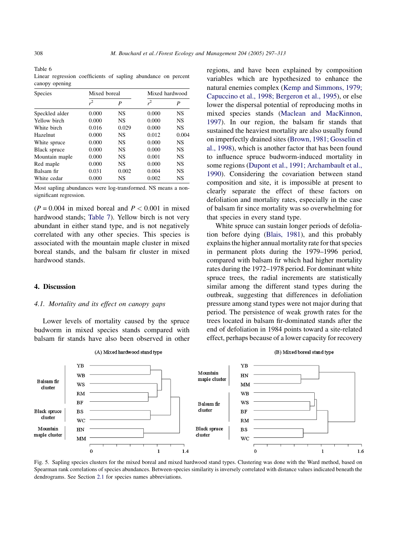<span id="page-11-0"></span>Table 6 Linear regression coefficients of sapling abundance on percent canopy opening

| <b>Species</b> | Mixed boreal   |           | Mixed hardwood |           |  |
|----------------|----------------|-----------|----------------|-----------|--|
|                | r <sup>2</sup> | P         | $r^2$          | P         |  |
| Speckled alder | 0.000          | <b>NS</b> | 0.000          | <b>NS</b> |  |
| Yellow birch   | 0.000          | <b>NS</b> | 0.000          | <b>NS</b> |  |
| White birch    | 0.016          | 0.029     | 0.000          | <b>NS</b> |  |
| Hazelnut       | 0.000          | <b>NS</b> | 0.012          | 0.004     |  |
| White spruce   | 0.000          | <b>NS</b> | 0.000          | <b>NS</b> |  |
| Black spruce   | 0.000          | <b>NS</b> | 0.000          | <b>NS</b> |  |
| Mountain maple | 0.000          | <b>NS</b> | 0.001          | <b>NS</b> |  |
| Red maple      | 0.000          | <b>NS</b> | 0.000          | <b>NS</b> |  |
| Balsam fir     | 0.031          | 0.002     | 0.004          | <b>NS</b> |  |
| White cedar    | 0.000          | NS        | 0.002          | NS        |  |

Most sapling abundances were log-transformed. NS means a nonsignificant regression.

 $(P = 0.004$  in mixed boreal and  $P < 0.001$  in mixed hardwood stands; [Table 7\)](#page-12-0). Yellow birch is not very abundant in either stand type, and is not negatively correlated with any other species. This species is associated with the mountain maple cluster in mixed boreal stands, and the balsam fir cluster in mixed hardwood stands.

#### 4. Discussion

## 4.1. Mortality and its effect on canopy gaps

Lower levels of mortality caused by the spruce budworm in mixed species stands compared with balsam fir stands have also been observed in other regions, and have been explained by composition variables which are hypothesized to enhance the natural enemies complex [\(Kemp and Simmons, 1979;](#page-15-0) [Capuccino et al., 1998; Bergeron et al., 1995\)](#page-15-0), or else lower the dispersal potential of reproducing moths in mixed species stands ([Maclean and MacKinnon,](#page-15-0) [1997](#page-15-0)). In our region, the balsam fir stands that sustained the heaviest mortality are also usually found on imperfectly drained sites ([Brown, 1981; Gosselin et](#page-15-0) [al., 1998](#page-15-0)), which is another factor that has been found to influence spruce budworm-induced mortality in some regions ([Dupont et al., 1991; Archambault et al.,](#page-15-0) [1990](#page-15-0)). Considering the covariation between stand composition and site, it is impossible at present to clearly separate the effect of these factors on defoliation and mortality rates, especially in the case of balsam fir since mortality was so overwhelming for that species in every stand type.

White spruce can sustain longer periods of defoliation before dying ([Blais, 1981](#page-15-0)), and this probably explains the higher annual mortality rate for that species in permanent plots during the 1979–1996 period, compared with balsam fir which had higher mortality rates during the 1972–1978 period. For dominant white spruce trees, the radial increments are statistically similar among the different stand types during the outbreak, suggesting that differences in defoliation pressure among stand types were not major during that period. The persistence of weak growth rates for the trees located in balsam fir-dominated stands after the end of defoliation in 1984 points toward a site-related effect, perhaps because of a lower capacity for recovery



Fig. 5. Sapling species clusters for the mixed boreal and mixed hardwood stand types. Clustering was done with the Ward method, based on Spearman rank correlations of species abundances. Between-species similarity is inversely correlated with distance values indicated beneath the dendrograms. See Section [2.1](#page-1-0) for species names abbreviations.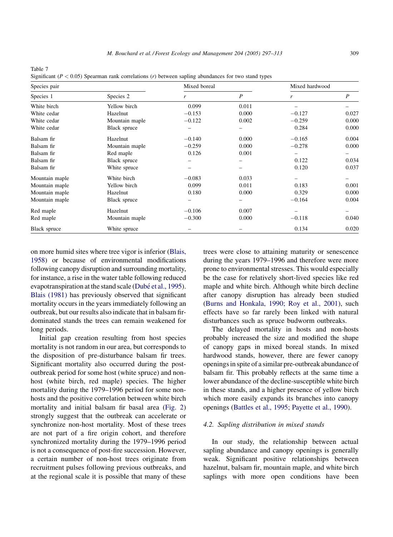| Species pair   |                | Mixed boreal |                  | Mixed hardwood |                  |  |
|----------------|----------------|--------------|------------------|----------------|------------------|--|
| Species 1      | Species 2      | r            | $\boldsymbol{P}$ | r              | $\boldsymbol{P}$ |  |
| White birch    | Yellow birch   | 0.099        | 0.011            |                |                  |  |
| White cedar    | Hazelnut       | $-0.153$     | 0.000            | $-0.127$       | 0.027            |  |
| White cedar    | Mountain maple | $-0.122$     | 0.002            | $-0.259$       | 0.000            |  |
| White cedar    | Black spruce   |              |                  | 0.284          | 0.000            |  |
| Balsam fir     | Hazelnut       | $-0.140$     | 0.000            | $-0.165$       | 0.004            |  |
| Balsam fir     | Mountain maple | $-0.259$     | 0.000            | $-0.278$       | 0.000            |  |
| Balsam fir     | Red maple      | 0.126        | 0.001            |                |                  |  |
| Balsam fir     | Black spruce   |              |                  | 0.122          | 0.034            |  |
| Balsam fir     | White spruce   |              |                  | 0.120          | 0.037            |  |
| Mountain maple | White birch    | $-0.083$     | 0.033            |                |                  |  |
| Mountain maple | Yellow birch   | 0.099        | 0.011            | 0.183          | 0.001            |  |
| Mountain maple | Hazelnut       | 0.180        | 0.000            | 0.329          | 0.000            |  |
| Mountain maple | Black spruce   |              |                  | $-0.164$       | 0.004            |  |
| Red maple      | Hazelnut       | $-0.106$     | 0.007            |                |                  |  |
| Red maple      | Mountain maple | $-0.300$     | 0.000            | $-0.118$       | 0.040            |  |
| Black spruce   | White spruce   |              |                  | 0.134          | 0.020            |  |

Significant  $(P < 0.05)$  Spearman rank correlations (r) between sapling abundances for two stand types

<span id="page-12-0"></span>Table 7

on more humid sites where tree vigor is inferior ([Blais,](#page-15-0) [1958](#page-15-0)) or because of environmental modifications following canopy disruption and surrounding mortality, for instance, a rise in the water table following reduced evapotranspiration at the stand scale (Dubé [et al., 1995\)](#page-15-0). [Blais \(1981\)](#page-15-0) has previously observed that significant mortality occurs in the years immediately following an outbreak, but our results also indicate that in balsam firdominated stands the trees can remain weakened for long periods.

Initial gap creation resulting from host species mortality is not random in our area, but corresponds to the disposition of pre-disturbance balsam fir trees. Significant mortality also occurred during the postoutbreak period for some host (white spruce) and nonhost (white birch, red maple) species. The higher mortality during the 1979–1996 period for some nonhosts and the positive correlation between white birch mortality and initial balsam fir basal area ([Fig. 2](#page-8-0)) strongly suggest that the outbreak can accelerate or synchronize non-host mortality. Most of these trees are not part of a fire origin cohort, and therefore synchronized mortality during the 1979–1996 period is not a consequence of post-fire succession. However, a certain number of non-host trees originate from recruitment pulses following previous outbreaks, and at the regional scale it is possible that many of these

trees were close to attaining maturity or senescence during the years 1979–1996 and therefore were more prone to environmental stresses. This would especially be the case for relatively short-lived species like red maple and white birch. Although white birch decline after canopy disruption has already been studied ([Burns and Honkala, 1990; Roy et al., 2001](#page-15-0)), such effects have so far rarely been linked with natural disturbances such as spruce budworm outbreaks.

The delayed mortality in hosts and non-hosts probably increased the size and modified the shape of canopy gaps in mixed boreal stands. In mixed hardwood stands, however, there are fewer canopy openings in spite of a similar pre-outbreak abundance of balsam fir. This probably reflects at the same time a lower abundance of the decline-susceptible white birch in these stands, and a higher presence of yellow birch which more easily expands its branches into canopy openings [\(Battles et al., 1995; Payette et al., 1990](#page-15-0)).

# 4.2. Sapling distribution in mixed stands

In our study, the relationship between actual sapling abundance and canopy openings is generally weak. Significant positive relationships between hazelnut, balsam fir, mountain maple, and white birch saplings with more open conditions have been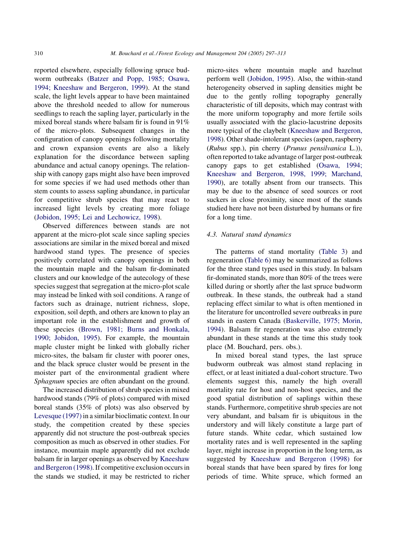reported elsewhere, especially following spruce budworm outbreaks [\(Batzer and Popp, 1985; Osawa,](#page-15-0) [1994; Kneeshaw and Bergeron, 1999\)](#page-15-0). At the stand scale, the light levels appear to have been maintained above the threshold needed to allow for numerous seedlings to reach the sapling layer, particularly in the mixed boreal stands where balsam fir is found in 91% of the micro-plots. Subsequent changes in the configuration of canopy openings following mortality and crown expansion events are also a likely explanation for the discordance between sapling abundance and actual canopy openings. The relationship with canopy gaps might also have been improved for some species if we had used methods other than stem counts to assess sapling abundance, in particular for competitive shrub species that may react to increased light levels by creating more foliage ([Jobidon, 1995; Lei and Lechowicz, 1998](#page-15-0)).

Observed differences between stands are not apparent at the micro-plot scale since sapling species associations are similar in the mixed boreal and mixed hardwood stand types. The presence of species positively correlated with canopy openings in both the mountain maple and the balsam fir-dominated clusters and our knowledge of the autecology of these species suggest that segregation at the micro-plot scale may instead be linked with soil conditions. A range of factors such as drainage, nutrient richness, slope, exposition, soil depth, and others are known to play an important role in the establishment and growth of these species [\(Brown, 1981; Burns and Honkala,](#page-15-0) [1990; Jobidon, 1995](#page-15-0)). For example, the mountain maple cluster might be linked with globally richer micro-sites, the balsam fir cluster with poorer ones, and the black spruce cluster would be present in the moister part of the environmental gradient where Sphagnum species are often abundant on the ground.

The increased distribution of shrub species in mixed hardwood stands (79% of plots) compared with mixed boreal stands (35% of plots) was also observed by [Levesque \(1997\)](#page-15-0) in a similar bioclimatic context. In our study, the competition created by these species apparently did not structure the post-outbreak species composition as much as observed in other studies. For instance, mountain maple apparently did not exclude balsam fir in larger openings as observed by [Kneeshaw](#page-15-0) [and Bergeron \(1998\).](#page-15-0) If competitive exclusion occurs in the stands we studied, it may be restricted to richer micro-sites where mountain maple and hazelnut perform well ([Jobidon, 1995\)](#page-15-0). Also, the within-stand heterogeneity observed in sapling densities might be due to the gently rolling topography generally characteristic of till deposits, which may contrast with the more uniform topography and more fertile soils usually associated with the glacio-lacustrine deposits more typical of the claybelt [\(Kneeshaw and Bergeron,](#page-15-0) [1998](#page-15-0)). Other shade-intolerant species (aspen, raspberry (Rubus spp.), pin cherry (Prunus pensilvanica L.)), often reported to take advantage of larger post-outbreak canopy gaps to get established ([Osawa, 1994;](#page-16-0) [Kneeshaw and Bergeron, 1998, 1999; Marchand,](#page-16-0) [1990](#page-16-0)), are totally absent from our transects. This may be due to the absence of seed sources or root suckers in close proximity, since most of the stands studied here have not been disturbed by humans or fire for a long time.

# 4.3. Natural stand dynamics

The patterns of stand mortality ([Table 3](#page-7-0)) and regeneration [\(Table 6](#page-11-0)) may be summarized as follows for the three stand types used in this study. In balsam fir-dominated stands, more than 80% of the trees were killed during or shortly after the last spruce budworm outbreak. In these stands, the outbreak had a stand replacing effect similar to what is often mentioned in the literature for uncontrolled severe outbreaks in pure stands in eastern Canada ([Baskerville, 1975; Morin,](#page-15-0) [1994](#page-15-0)). Balsam fir regeneration was also extremely abundant in these stands at the time this study took place (M. Bouchard, pers. obs.).

In mixed boreal stand types, the last spruce budworm outbreak was almost stand replacing in effect, or at least initiated a dual-cohort structure. Two elements suggest this, namely the high overall mortality rate for host and non-host species, and the good spatial distribution of saplings within these stands. Furthermore, competitive shrub species are not very abundant, and balsam fir is ubiquitous in the understory and will likely constitute a large part of future stands. White cedar, which sustained low mortality rates and is well represented in the sapling layer, might increase in proportion in the long term, as suggested by [Kneeshaw and Bergeron \(1998\)](#page-15-0) for boreal stands that have been spared by fires for long periods of time. White spruce, which formed an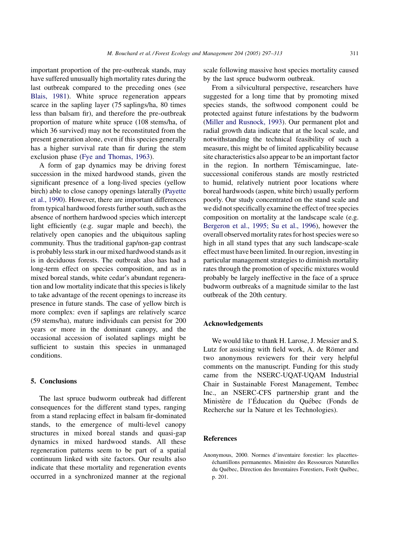<span id="page-14-0"></span>important proportion of the pre-outbreak stands, may have suffered unusually high mortality rates during the last outbreak compared to the preceding ones (see [Blais, 1981\)](#page-15-0). White spruce regeneration appears scarce in the sapling layer (75 saplings/ha, 80 times less than balsam fir), and therefore the pre-outbreak proportion of mature white spruce (108 stems/ha, of which 36 survived) may not be reconstituted from the present generation alone, even if this species generally has a higher survival rate than fir during the stem exclusion phase [\(Fye and Thomas, 1963\)](#page-15-0).

A form of gap dynamics may be driving forest succession in the mixed hardwood stands, given the significant presence of a long-lived species (yellow birch) able to close canopy openings laterally ([Payette](#page-16-0) [et al., 1990\)](#page-16-0). However, there are important differences from typical hardwood forests further south, such as the absence of northern hardwood species which intercept light efficiently (e.g. sugar maple and beech), the relatively open canopies and the ubiquitous sapling community. Thus the traditional gap/non-gap contrast is probably less stark in our mixed hardwood stands as it is in deciduous forests. The outbreak also has had a long-term effect on species composition, and as in mixed boreal stands, white cedar's abundant regeneration and low mortality indicate that this species is likely to take advantage of the recent openings to increase its presence in future stands. The case of yellow birch is more complex: even if saplings are relatively scarce (59 stems/ha), mature individuals can persist for 200 years or more in the dominant canopy, and the occasional accession of isolated saplings might be sufficient to sustain this species in unmanaged conditions.

### 5. Conclusions

The last spruce budworm outbreak had different consequences for the different stand types, ranging from a stand replacing effect in balsam fir-dominated stands, to the emergence of multi-level canopy structures in mixed boreal stands and quasi-gap dynamics in mixed hardwood stands. All these regeneration patterns seem to be part of a spatial continuum linked with site factors. Our results also indicate that these mortality and regeneration events occurred in a synchronized manner at the regional scale following massive host species mortality caused by the last spruce budworm outbreak.

From a silvicultural perspective, researchers have suggested for a long time that by promoting mixed species stands, the softwood component could be protected against future infestations by the budworm ([Miller and Rusnock, 1993\)](#page-15-0). Our permanent plot and radial growth data indicate that at the local scale, and notwithstanding the technical feasibility of such a measure, this might be of limited applicability because site characteristics also appear to be an important factor in the region. In northern Témiscamingue, latesuccessional coniferous stands are mostly restricted to humid, relatively nutrient poor locations where boreal hardwoods (aspen, white birch) usually perform poorly. Our study concentrated on the stand scale and we did not specifically examine the effect of tree species composition on mortality at the landscape scale (e.g. [Bergeron et al., 1995; Su et al., 1996](#page-15-0)), however the overall observed mortality rates for host species were so high in all stand types that any such landscape-scale effect must have been limited. In our region, investing in particular management strategies to diminish mortality rates through the promotion of specific mixtures would probably be largely ineffective in the face of a spruce budworm outbreaks of a magnitude similar to the last outbreak of the 20th century.

#### Acknowledgements

We would like to thank H. Larose, J. Messier and S. Lutz for assisting with field work, A. de Römer and two anonymous reviewers for their very helpful comments on the manuscript. Funding for this study came from the NSERC-UQAT-UQAM Industrial Chair in Sustainable Forest Management, Tembec Inc., an NSERC-CFS partnership grant and the Ministère de l'Éducation du Québec (Fonds de Recherche sur la Nature et les Technologies).

#### References

Anonymous, 2000. Normes d'inventaire forestier: les placetteséchantillons permanentes. Ministère des Ressources Naturelles du Québec, Direction des Inventaires Forestiers, Forêt Québec, p. 201.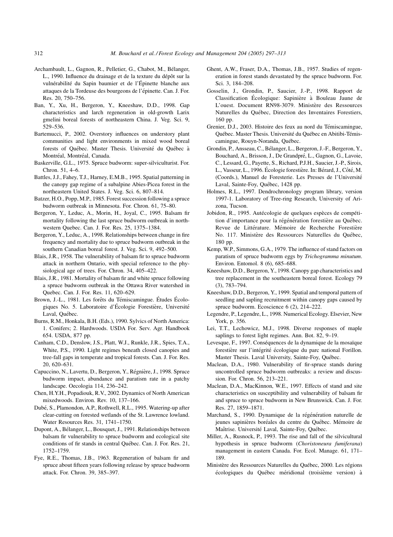- <span id="page-15-0"></span>Archambault, L., Gagnon, R., Pelletier, G., Chabot, M., Bélanger, L., 1990. Influence du drainage et de la texture du dépôt sur la vulnérabilité du Sapin baumier et de l'Épinette blanche aux attaques de la Tordeuse des bourgeons de l'épinette. Can. J. For. Res. 20, 750–756.
- Ban, Y., Xu, H., Bergeron, Y., Kneeshaw, D.D., 1998. Gap characteristics and larch regeneration in old-growth Larix gmelini boreal forests of northeastern China. J. Veg. Sci. 9, 529–536.
- Bartemucci, P., 2002. Overstory influences on understory plant communities and light environments in mixed wood boreal forests of Québec. Master Thesis. Université du Québec à Montréal, Montréal, Canada.
- Baskerville, G.L., 1975. Spruce budworm: super-silviculturist. For. Chron. 51, 4–6.
- Battles, J.J., Fahey, T.J., Harney, E.M.B., 1995. Spatial patterning in the canopy gap regime of a subalpine Abies-Picea forest in the northeastern United States. J. Veg. Sci. 6, 807–814.
- Batzer, H.O., Popp, M.P., 1985. Forest succession following a spruce budworm outbreak in Minnesota. For. Chron. 61, 75–80.
- Bergeron, Y., Leduc, A., Morin, H., Joyal, C., 1995. Balsam fir mortality following the last spruce budworm outbreak in northwestern Quebec. Can. J. For. Res. 25, 1375–1384.
- Bergeron, Y., Leduc, A., 1998. Relationships between change in fire frequency and mortality due to spruce budworm outbreak in the southern Canadian boreal forest. J. Veg. Sci. 9, 492–500.
- Blais, J.R., 1958. The vulnerability of balsam fir to spruce budworm attack in northern Ontario, with special reference to the physiological age of trees. For. Chron. 34, 405–422.
- Blais, J.R., 1981. Mortality of balsam fir and white spruce following a spruce budworm outbreak in the Ottawa River watershed in Quebec. Can. J. For. Res. 11, 620–629.
- Brown, J.-L., 1981. Les forêts du Témiscamingue. Études Écologiques No. 5. Laboratoire d'Écologie Forestière, Université Laval, Québec.
- Burns, R.M., Honkala, B.H. (Eds.), 1990. Sylvics of North America: 1. Conifers; 2. Hardwoods. USDA For. Serv. Agr. Handbook 654. USDA, 877 pp.
- Canham, C.D., Denslow, J.S., Platt, W.J., Runkle, J.R., Spies, T.A., White, P.S., 1990. Light regimes beneath closed canopies and tree-fall gaps in temperate and tropical forests. Can. J. For. Res. 20, 620–631.
- Capuccino, N., Lavertu, D., Bergeron, Y., Régnière, J., 1998. Spruce budworm impact, abundance and paratism rate in a patchy landscape. Oecologia 114, 236–242.
- Chen, H.Y.H., Popadiouk, R.V., 2002. Dynamics of North American mixedwoods. Environ. Rev. 10, 137–166.
- Dubé, S., Plamondon, A.P., Rothwell, R.L., 1995. Watering-up after clear-cutting on forested wetlands of the St. Lawrence lowland. Water Resources Res. 31, 1741–1750.
- Dupont, A., Bélanger, L., Bousquet, J., 1991. Relationships between balsam fir vulnerability to spruce budworm and ecological site conditions of fir stands in central Québec. Can. J. For. Res. 21, 1752–1759.
- Fye, R.E., Thomas, J.B., 1963. Regeneration of balsam fir and spruce about fifteen years following release by spruce budworm attack. For. Chron. 39, 385–397.
- Ghent, A.W., Fraser, D.A., Thomas, J.B., 1957. Studies of regeneration in forest stands devastated by the spruce budworm. For. Sci. 3, 184–208.
- Gosselin, J., Grondin, P., Saucier, J.-P., 1998. Rapport de Classification Écologique: Sapinière à Bouleau Jaune de L'ouest. Document RN98-3079. Ministère des Ressources Naturelles du Québec, Direction des Inventaires Forestiers, 160 pp.
- Grenier, D.J., 2003. Histoire des feux au nord du Témiscamingue, Québec. Master Thesis. Université du Québec en Abitibi-Témiscamingue, Rouyn-Noranda, Québec.
- Grondin, P., Ansseau, C., Bélanger, L., Bergeron, J.-F., Bergeron, Y., Bouchard, A., Brisson, J., De Grandpré, L., Gagnon, G., Lavoie, C., Lessard, G., Payette, S., Richard, P.J.H., Saucier, J.-P., Sirois, L., Vasseur, L., 1996. Écologie forestière. In: Bérard, J., Côté, M. (Coords.), Manuel de Foresterie. Les Presses de l'Université Laval, Sainte-Foy, Québec, 1428 pp.
- Holmes, R.L., 1997. Dendrochronology program library, version 1997-1. Laboratory of Tree-ring Research, University of Arizona, Tucson.
- Jobidon, R., 1995. Autécologie de quelques espèces de compétition d'importance pour la régénération forestière au Québec. Revue de Littérature. Mémoire de Recherche Forestière No. 117. Ministère des Ressources Naturelles du Québec, 180 pp.
- Kemp, W.P., Simmons, G.A., 1979. The influence of stand factors on paratism of spruce budworm eggs by Trichogramma minutum. Environ. Entomol. 8 (6), 685–688.
- Kneeshaw, D.D., Bergeron, Y., 1998. Canopy gap characteristics and tree replacement in the southeastern boreal forest. Ecology 79 (3), 783–794.
- Kneeshaw, D.D., Bergeron, Y., 1999. Spatial and temporal pattern of seedling and sapling recruitment within canopy gaps caused by spruce budworm. Ecoscience 6 (2), 214–222.
- Legendre, P., Legendre, L., 1998. Numerical Ecology. Elsevier, New York, p. 356.
- Lei, T.T., Lechowicz, M.J., 1998. Diverse responses of maple saplings to forest light regimes. Ann. Bot. 82, 9–19.
- Levesque, F., 1997. Conséquences de la dynamique de la mosaïque forestière sur l'intégrité écologique du parc national Forillon. Master Thesis. Laval University, Sainte-Foy, Québec.
- Maclean, D.A., 1980. Vulnerability of fir-spruce stands during uncontrolled spruce budworm outbreaks: a review and discussion. For. Chron. 56, 213–221.
- Maclean, D.A., MacKinnon, W.E., 1997. Effects of stand and site characteristics on susceptibility and vulnerability of balsam fir and spruce to spruce budworm in New Brunswick. Can. J. For. Res. 27, 1859–1871.
- Marchand, S., 1990. Dynamique de la régénération naturelle de jeunes sapinières boréales du centre du Québec. Mémoire de Maîtrise. Université Laval, Sainte-Foy, Québec.
- Miller, A., Rusnock, P., 1993. The rise and fall of the silvicultural hypothesis in spruce budworm (Choristoneura fumiferana) management in eastern Canada. For. Ecol. Manage. 61, 171– 189.
- Ministère des Ressources Naturelles du Québec, 2000. Les régions écologiques du Québec méridional (troisième version) à